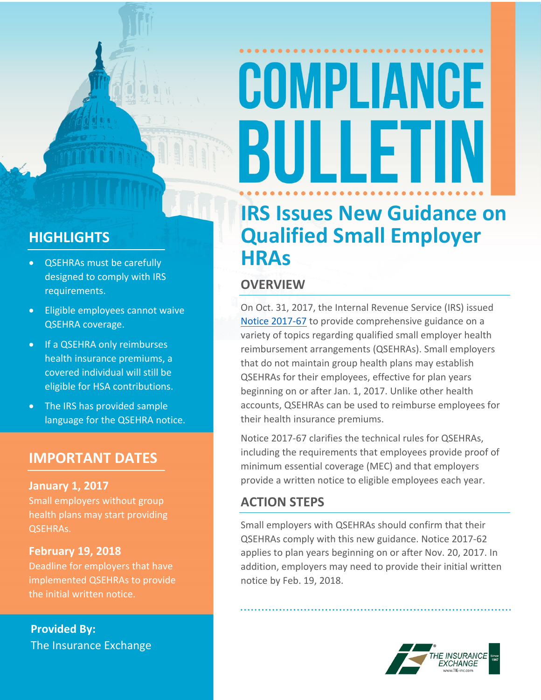# COMPLIANCE BULLET

#### **HIGHLIGHTS**

- QSEHRAs must be carefully designed to comply with IRS requirements.
- Eligible employees cannot waive QSEHRA coverage.
- If a QSEHRA only reimburses health insurance premiums, a covered individual will still be eligible for HSA contributions.
- The IRS has provided sample language for the QSEHRA notice.

#### **IMPORTANT DATES**

#### **January 1, 2017**

Small employers without group health plans may start providing QSEHRAs.

#### **February 19, 2018**

Deadline for employers that have implemented QSEHRAs to provide the initial written notice.

**Provided By:** The Insurance Exchange

### **IRS Issues New Guidance on Qualified Small Employer HRAs**

#### **OVERVIEW**

On Oct. 31, 2017, the Internal Revenue Service (IRS) issued Notice [2017-67](https://www.irs.gov/pub/irs-drop/n-17-67.pdf) to provide comprehensive guidance on a variety of topics regarding qualified small employer health reimbursement arrangements (QSEHRAs). Small employers that do not maintain group health plans may establish QSEHRAs for their employees, effective for plan years beginning on or after Jan. 1, 2017. Unlike other health accounts, QSEHRAs can be used to reimburse employees for their health insurance premiums.

Notice 2017-67 clarifies the technical rules for QSEHRAs, including the requirements that employees provide proof of minimum essential coverage (MEC) and that employers provide a written notice to eligible employees each year.

#### **ACTION STEPS**

Small employers with QSEHRAs should confirm that their QSEHRAs comply with this new guidance. Notice 2017-62 applies to plan years beginning on or after Nov. 20, 2017. In addition, employers may need to provide their initial written notice by Feb. 19, 2018.

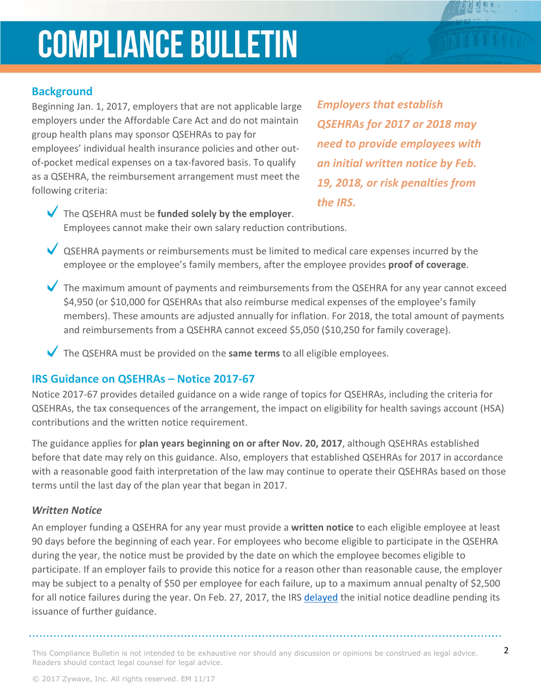## **COMPLIANCE BULLETIN**

#### **Background**

Beginning Jan. 1, 2017, employers that are not applicable large employers under the Affordable Care Act and do not maintain group health plans may sponsor QSEHRAs to pay for employees' individual health insurance policies and other outof-pocket medical expenses on a tax-favored basis. To qualify as a QSEHRA, the reimbursement arrangement must meet the following criteria:

*Employers that establish QSEHRAs for 2017 or 2018 may need to provide employees with an initial written notice by Feb. 19, 2018, or risk penalties from the IRS.* 

The QSEHRA must be **funded solely by the employer**. Employees cannot make their own salary reduction contributions.

◆ QSEHRA payments or reimbursements must be limited to medical care expenses incurred by the employee or the employee's family members, after the employee provides **proof of coverage**.

The maximum amount of payments and reimbursements from the QSEHRA for any year cannot exceed \$4,950 (or \$10,000 for QSEHRAs that also reimburse medical expenses of the employee's family members). These amounts are adjusted annually for inflation. For 2018, the total amount of payments and reimbursements from a QSEHRA cannot exceed \$5,050 (\$10,250 for family coverage).

The QSEHRA must be provided on the **same terms** to all eligible employees.

#### **IRS Guidance on QSEHRAs – Notice 2017-67**

Notice 2017-67 provides detailed guidance on a wide range of topics for QSEHRAs, including the criteria for QSEHRAs, the tax consequences of the arrangement, the impact on eligibility for health savings account (HSA) contributions and the written notice requirement.

The guidance applies for **plan years beginning on or after Nov. 20, 2017**, although QSEHRAs established before that date may rely on this guidance. Also, employers that established QSEHRAs for 2017 in accordance with a reasonable good faith interpretation of the law may continue to operate their QSEHRAs based on those terms until the last day of the plan year that began in 2017.

#### *Written Notice*

An employer funding a QSEHRA for any year must provide a **written notice** to each eligible employee at least 90 days before the beginning of each year. For employees who become eligible to participate in the QSEHRA during the year, the notice must be provided by the date on which the employee becomes eligible to participate. If an employer fails to provide this notice for a reason other than reasonable cause, the employer may be subject to a penalty of \$50 per employee for each failure, up to a maximum annual penalty of \$2,500 for all notice failures during the year. On Feb. 27, 2017, the IRS [delayed](https://www.irs.gov/pub/irs-drop/n-17-20.pdf) the initial notice deadline pending its issuance of further guidance.

This Compliance Bulletin is not intended to be exhaustive nor should any discussion or opinions be construed as legal advice.  $2$ Readers should contact legal counsel for legal advice.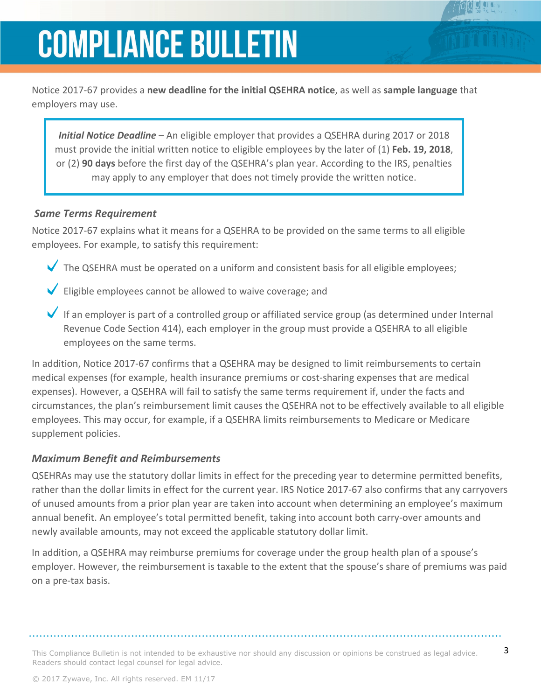## **COMPLIANCE BULLETIN**

Notice 2017-67 provides a **new deadline for the initial QSEHRA notice**, as well as **sample language** that employers may use.

*Initial Notice Deadline* – An eligible employer that provides a QSEHRA during 2017 or 2018 must provide the initial written notice to eligible employees by the later of (1) **Feb. 19, 2018**, or (2) **90 days** before the first day of the QSEHRA's plan year. According to the IRS, penalties may apply to any employer that does not timely provide the written notice.

#### *Same Terms Requirement*

Notice 2017-67 explains what it means for a QSEHRA to be provided on the same terms to all eligible employees. For example, to satisfy this requirement:

- The QSEHRA must be operated on a uniform and consistent basis for all eligible employees;
- Eligible employees cannot be allowed to waive coverage; and
- If an employer is part of a controlled group or affiliated service group (as determined under Internal Revenue Code Section 414), each employer in the group must provide a QSEHRA to all eligible employees on the same terms.

In addition, Notice 2017-67 confirms that a QSEHRA may be designed to limit reimbursements to certain medical expenses (for example, health insurance premiums or cost-sharing expenses that are medical expenses). However, a QSEHRA will fail to satisfy the same terms requirement if, under the facts and circumstances, the plan's reimbursement limit causes the QSEHRA not to be effectively available to all eligible employees. This may occur, for example, if a QSEHRA limits reimbursements to Medicare or Medicare supplement policies.

#### *Maximum Benefit and Reimbursements*

QSEHRAs may use the statutory dollar limits in effect for the preceding year to determine permitted benefits, rather than the dollar limits in effect for the current year. IRS Notice 2017-67 also confirms that any carryovers of unused amounts from a prior plan year are taken into account when determining an employee's maximum annual benefit. An employee's total permitted benefit, taking into account both carry-over amounts and newly available amounts, may not exceed the applicable statutory dollar limit.

In addition, a QSEHRA may reimburse premiums for coverage under the group health plan of a spouse's employer. However, the reimbursement is taxable to the extent that the spouse's share of premiums was paid on a pre-tax basis.

This Compliance Bulletin is not intended to be exhaustive nor should any discussion or opinions be construed as legal advice.  $3$ Readers should contact legal counsel for legal advice.